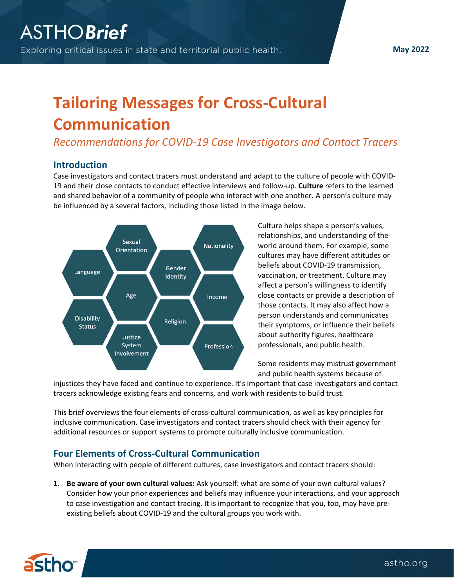**May 2022**

# **Tailoring Messages for Cross-Cultural Communication**

*Recommendations for COVID-19 Case Investigators and Contact Tracers*

#### **Introduction**

Case investigators and contact tracers must understand and adapt to the culture of people with COVID-19 and their close contacts to conduct effective interviews and follow-up. **Culture** refers to the learned and shared behavior of a community of people who interact with one another. A person's culture may be influenced by a several factors, including those listed in the image below.



Culture helps shape a person's values, relationships, and understanding of the world around them. For example, some cultures may have different attitudes or beliefs about COVID-19 transmission, vaccination, or treatment. Culture may affect a person's willingness to identify close contacts or provide a description of those contacts. It may also affect how a person understands and communicates their symptoms, or influence their beliefs about authority figures, healthcare professionals, and public health.

Some residents may mistrust government and public health systems because of

injustices they have faced and continue to experience. It's important that case investigators and contact tracers acknowledge existing fears and concerns, and work with residents to build trust.

This brief overviews the four elements of cross-cultural communication, as well as key principles for inclusive communication. Case investigators and contact tracers should check with their agency for additional resources or support systems to promote culturally inclusive communication.

# **Four Elements of Cross-Cultural Communication**

When interacting with people of different cultures, case investigators and contact tracers should:

**1. Be aware of your own cultural values:** Ask yourself: what are some of your own cultural values? Consider how your prior experiences and beliefs may influence your interactions, and your approach to case investigation and contact tracing. It is important to recognize that you, too, may have preexisting beliefs about COVID-19 and the cultural groups you work with.